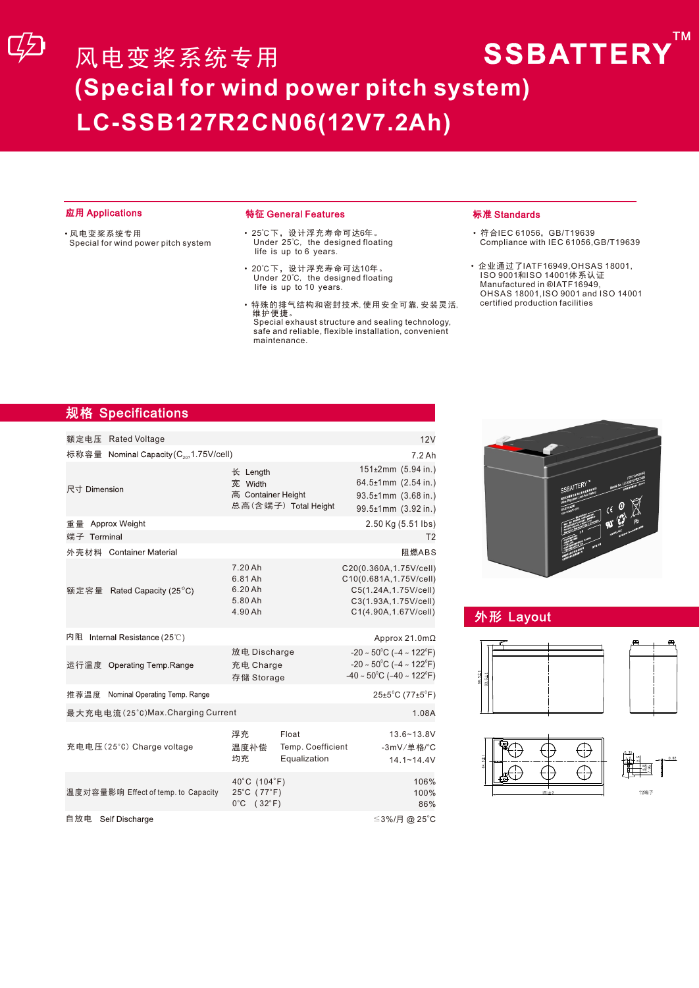#### 应用 Applications 特征 General Features

- 风电变桨系统专用 Special for wind power pitch system
- 25℃下,设计浮充寿命可达6年。 Under 25℃, the designed floating life is up to 6 years.
- 20℃下,设计浮充寿命可达10年。<br>Under 20℃, the designed floating<br>life is up to 10 years.
- 特殊的排气结构和密封技术,使用安全可靠,安装灵活, 维护便捷。

Special exhaust structure and sealing technology, safe and reliable, flexible installation, convenient maintenance.

#### 标准 Standards

• 符合IEC 61056,GB/T19639 Compliance with IEC 61056,GB/T19639 TM

• 企业通过了IATF16949,OHSAS 18001, ISO 9001和ISO 14001体系认证 Manufactured in ®IATF16949, OHSAS 18001,ISO 9001 and ISO 14001 certified production facilities

# 规格 Specifications

| 额定电压 Rated Voltage                                   |                                                                |                                            | 12V                                                                                                                                                             |  |  |  |  |
|------------------------------------------------------|----------------------------------------------------------------|--------------------------------------------|-----------------------------------------------------------------------------------------------------------------------------------------------------------------|--|--|--|--|
| 标称容量 Nominal Capacity (C <sub>20</sub> , 1.75V/cell) |                                                                |                                            |                                                                                                                                                                 |  |  |  |  |
| 尺寸 Dimension                                         | 长 Length<br>宽 Width<br>高 Container Height                      | 总高(含端子) Total Height                       | 7.2Ah<br>151±2mm (5.94 in.)<br>$64.5 \pm 1$ mm $(2.54 \text{ in.})$<br>93.5±1mm (3.68 in.)<br>99.5±1mm (3.92 in.)                                               |  |  |  |  |
| 重量 Approx Weight                                     |                                                                |                                            | 2.50 Kg (5.51 lbs)                                                                                                                                              |  |  |  |  |
| 端子 Terminal                                          |                                                                |                                            | T <sub>2</sub>                                                                                                                                                  |  |  |  |  |
| 外壳材料 Container Material                              |                                                                |                                            | 阻燃ABS                                                                                                                                                           |  |  |  |  |
| 额定容量 Rated Capacity (25°C)                           | 7.20 Ah<br>6.81 Ah<br>6.20 Ah<br>5.80 Ah<br>4.90 Ah            |                                            | C20(0.360A, 1.75V/cell)<br>C10(0.681A, 1.75V/cell)<br>C5(1.24A, 1.75V/cell)<br>C3(1.93A, 1.75V/cell)<br>C1(4.90A, 1.67V/cell)                                   |  |  |  |  |
| 内阻 Internal Resistance (25℃)                         |                                                                |                                            | Approx 21.0m $\Omega$                                                                                                                                           |  |  |  |  |
| 运行温度 Operating Temp.Range                            | 放电 Discharge<br>充电 Charge<br>存储 Storage                        |                                            | $-20 \sim 50^{\circ}$ C ( $-4 \sim 122^{\circ}$ F)<br>$-20 \sim 50^{\circ}$ C ( $-4 \sim 122^{\circ}$ F)<br>$-40 \sim 50^{\circ}$ C ( $-40 \sim 122^{\circ}$ F) |  |  |  |  |
| Nominal Operating Temp. Range<br>推荐温度                |                                                                |                                            | $25\pm5^{\circ}$ C (77 $\pm5^{\circ}$ F)                                                                                                                        |  |  |  |  |
|                                                      | 最大充电电流(25°C)Max.Charging Current                               |                                            |                                                                                                                                                                 |  |  |  |  |
| 充电电压(25°C) Charge voltage                            | 浮充<br>温度补偿<br>均充                                               | Float<br>Temp. Coefficient<br>Equalization | 13.6~13.8V<br>-3mV/单格/°C<br>$14.1 - 14.4V$                                                                                                                      |  |  |  |  |
| 温度对容量影响 Effect of temp. to Capacity                  | 40°C (104°F)<br>25°C (77°F)<br>$0^{\circ}$ C (32 $^{\circ}$ F) |                                            | 106%<br>100%<br>86%                                                                                                                                             |  |  |  |  |
| 自放电<br>Self Discharge                                |                                                                |                                            | ≤3%/月 @ 25°C                                                                                                                                                    |  |  |  |  |



# 外形 Layout